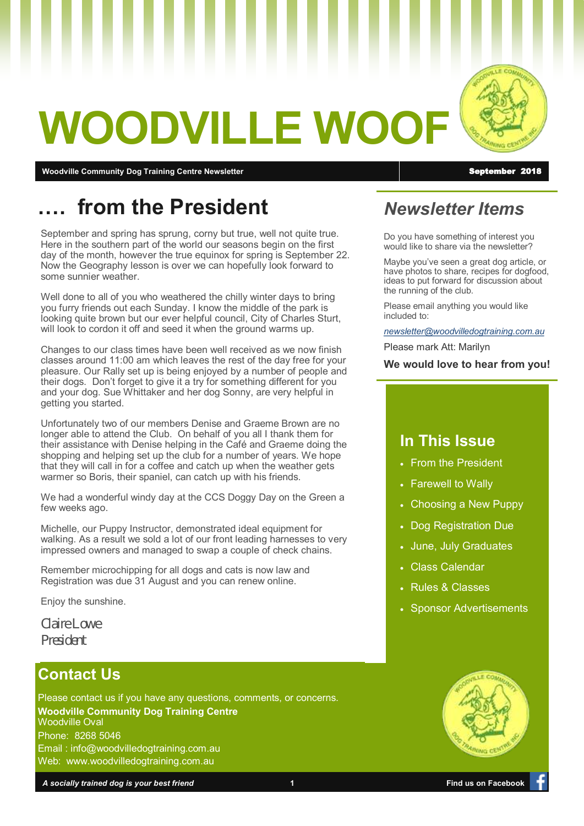# **WOODVILLE WOO**

**Moodville Community Dog Training Centre Newsletter** September 2018 and September 2018

# **…. from the President**

September and spring has sprung, corny but true, well not quite true. Here in the southern part of the world our seasons begin on the first day of the month, however the true equinox for spring is September 22. Now the Geography lesson is over we can hopefully look forward to some sunnier weather.

Well done to all of you who weathered the chilly winter days to bring you furry friends out each Sunday. I know the middle of the park is looking quite brown but our ever helpful council, City of Charles Sturt, will look to cordon it off and seed it when the ground warms up.

Changes to our class times have been well received as we now finish classes around 11:00 am which leaves the rest of the day free for your pleasure. Our Rally set up is being enjoyed by a number of people and their dogs. Don't forget to give it a try for something different for you and your dog. Sue Whittaker and her dog Sonny, are very helpful in getting you started.

Unfortunately two of our members Denise and Graeme Brown are no longer able to attend the Club. On behalf of you all I thank them for their assistance with Denise helping in the Café and Graeme doing the shopping and helping set up the club for a number of years. We hope that they will call in for a coffee and catch up when the weather gets warmer so Boris, their spaniel, can catch up with his friends.

We had a wonderful windy day at the CCS Doggy Day on the Green a few weeks ago.

Michelle, our Puppy Instructor, demonstrated ideal equipment for walking. As a result we sold a lot of our front leading harnesses to very impressed owners and managed to swap a couple of check chains.

Remember microchipping for all dogs and cats is now law and Registration was due 31 August and you can renew online.

Enjoy the sunshine.

*Claire Lowe President*

## **Contact Us**

Please contact us if you have any questions, comments, or concerns. **Woodville Community Dog Training Centre** Woodville Oval Phone: 8268 5046 Email : info@woodvilledogtraining.com.au Web: www.woodvilledogtraining.com.au

*Newsletter Items*

Do you have something of interest you would like to share via the newsletter?

Maybe you've seen a great dog article, or have photos to share, recipes for dogfood, ideas to put forward for discussion about the running of the club.

Please email anything you would like included to:

*[newsletter@woodvilledogtraining.com.au](mailto:newsletter@woodvilledogtraining.com.au)*

Please mark Att: Marilyn

**We would love to hear from you!**

### **In This Issue**

- From the President
- Farewell to Wally
- Choosing a New Puppy
- Dog Registration Due
- June, July Graduates
- Class Calendar
- Rules & Classes
- **Sponsor Advertisements**





**IN A F COMM**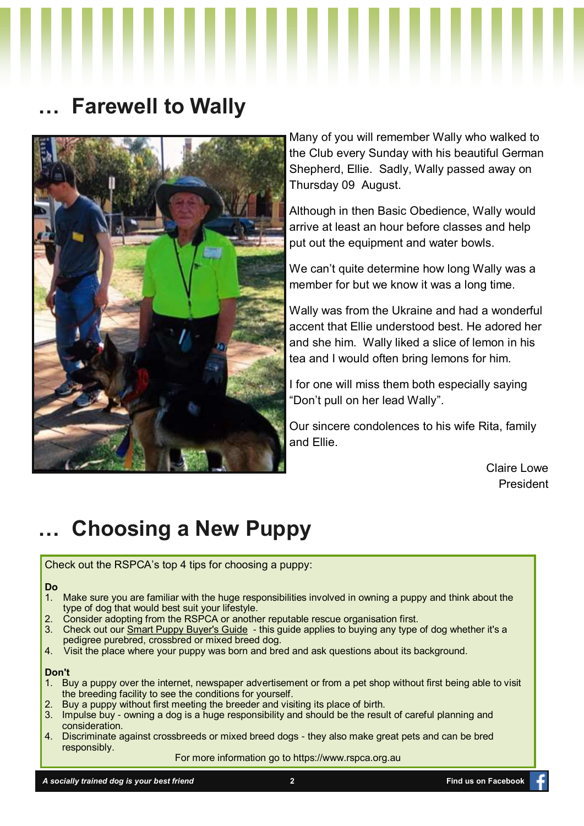# **… Farewell to Wally**



Many of you will remember Wally who walked to the Club every Sunday with his beautiful German Shepherd, Ellie. Sadly, Wally passed away on Thursday 09 August.

Although in then Basic Obedience, Wally would arrive at least an hour before classes and help put out the equipment and water bowls.

We can't quite determine how long Wally was a member for but we know it was a long time.

Wally was from the Ukraine and had a wonderful accent that Ellie understood best. He adored her and she him. Wally liked a slice of lemon in his tea and I would often bring lemons for him.

I for one will miss them both especially saying "Don't pull on her lead Wally".

Our sincere condolences to his wife Rita, family and Ellie.

> Claire Lowe President

# **… Choosing a New Puppy**

Check out the RSPCA's top 4 tips for choosing a puppy:

#### **Do**

- 1. Make sure you are familiar with the huge responsibilities involved in owning a puppy and think about the type of dog that would best suit your lifestyle.
- 2. Consider adopting from the RSPCA or another reputable rescue organisation first.
- 3. Check out our [Smart Puppy Buyer's Guide](https://www.rspca.org.au/sites/default/files/website/Adopt-a-pet/Smart_Puppy_Buyers_Guide_Oct2012_Web.pdf) this guide applies to buying any type of dog whether it's a pedigree purebred, crossbred or mixed breed dog.
- 4. Visit the place where your puppy was born and bred and ask questions about its background.

#### **Don't**

- 1. Buy a puppy over the internet, newspaper advertisement or from a pet shop without first being able to visit the breeding facility to see the conditions for yourself.
- 2. Buy a puppy without first meeting the breeder and visiting its place of birth.
- 3. Impulse buy owning a dog is a huge responsibility and should be the result of careful planning and consideration.
- 4. Discriminate against crossbreeds or mixed breed dogs they also make great pets and can be bred responsibly.

For more information go to https://www.rspca.org.au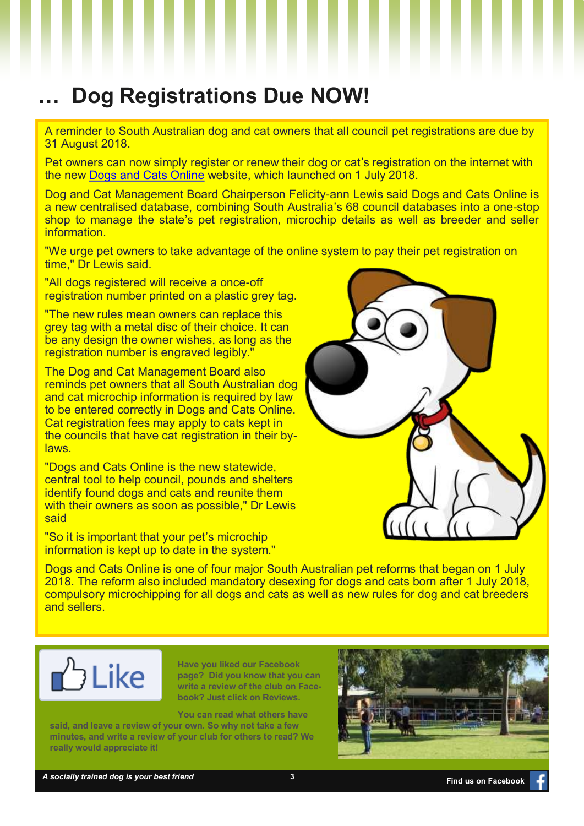# **… Dog Registrations Due NOW!**

A reminder to South Australian dog and cat owners that all council pet registrations are due by 31 August 2018.

Pet owners can now simply register or renew their dog or cat's registration on the internet with the new [Dogs and Cats Online](https://www.dogsandcatsonline.com.au/Core/UserAccount/Login?ReturnUrl=%2f) website, which launched on 1 July 2018.

Dog and Cat Management Board Chairperson Felicity-ann Lewis said Dogs and Cats Online is a new centralised database, combining South Australia's 68 council databases into a one-stop shop to manage the state's pet registration, microchip details as well as breeder and seller information.

"We urge pet owners to take advantage of the online system to pay their pet registration on time," Dr Lewis said.

"All dogs registered will receive a once-off registration number printed on a plastic grey tag.

"The new rules mean owners can replace this grey tag with a metal disc of their choice. It can be any design the owner wishes, as long as the registration number is engraved legibly."

The Dog and Cat Management Board also reminds pet owners that all South Australian dog and cat microchip information is required by law to be entered correctly in Dogs and Cats Online. Cat registration fees may apply to cats kept in the councils that have cat registration in their bylaws.

"Dogs and Cats Online is the new statewide, central tool to help council, pounds and shelters identify found dogs and cats and reunite them with their owners as soon as possible," Dr Lewis said

"So it is important that your pet's microchip information is kept up to date in the system."



Dogs and Cats Online is one of four major South Australian pet reforms that began on 1 July 2018. The reform also included mandatory desexing for dogs and cats born after 1 July 2018, compulsory microchipping for all dogs and cats as well as new rules for dog and cat breeders and sellers.



**Have you liked our Facebook page? Did you know that you can write a review of the club on Facebook? Just click on Reviews.**

**You can read what others have** 

**said, and leave a review of your own. So why not take a few minutes, and write a review of your club for others to read? We really would appreciate it!** 

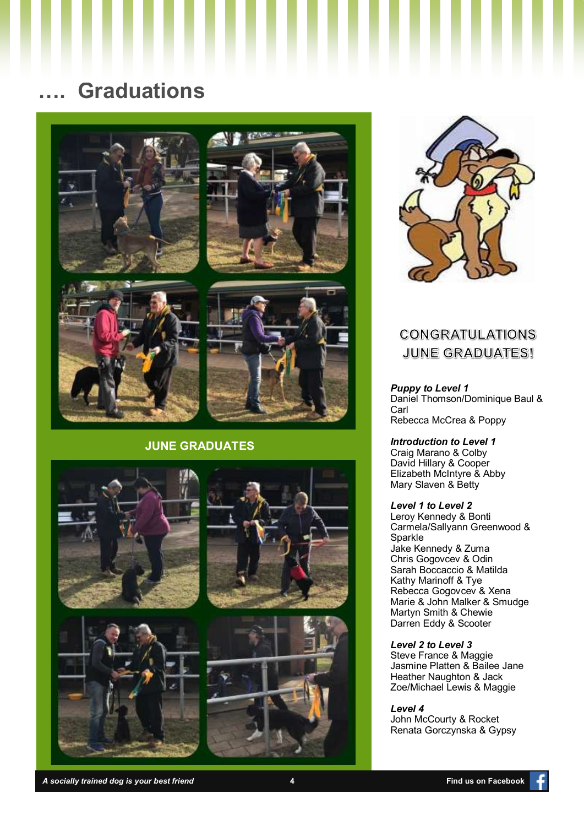# **…. Graduations**

ш





ш





#### **JUNE GRADUATES**





ш

ш

l

### **CONGRATULATIONS JUNE GRADUATES!**

*Puppy to Level 1* Daniel Thomson/Dominique Baul & Carl Rebecca McCrea & Poppy

*Introduction to Level 1* Craig Marano & Colby David Hillary & Cooper Elizabeth McIntyre & Abby Mary Slaven & Betty

#### *Level 1 to Level 2*

Leroy Kennedy & Bonti Carmela/Sallyann Greenwood & Sparkle Jake Kennedy & Zuma Chris Gogovcev & Odin Sarah Boccaccio & Matilda Kathy Marinoff & Tye Rebecca Gogovcev & Xena Marie & John Malker & Smudge Martyn Smith & Chewie Darren Eddy & Scooter

#### *Level 2 to Level 3*

Steve France & Maggie Jasmine Platten & Bailee Jane Heather Naughton & Jack Zoe/Michael Lewis & Maggie

*Level 4*

John McCourty & Rocket Renata Gorczynska & Gypsy

*A socially trained dog is your best friend* **4 Find us on Facebook**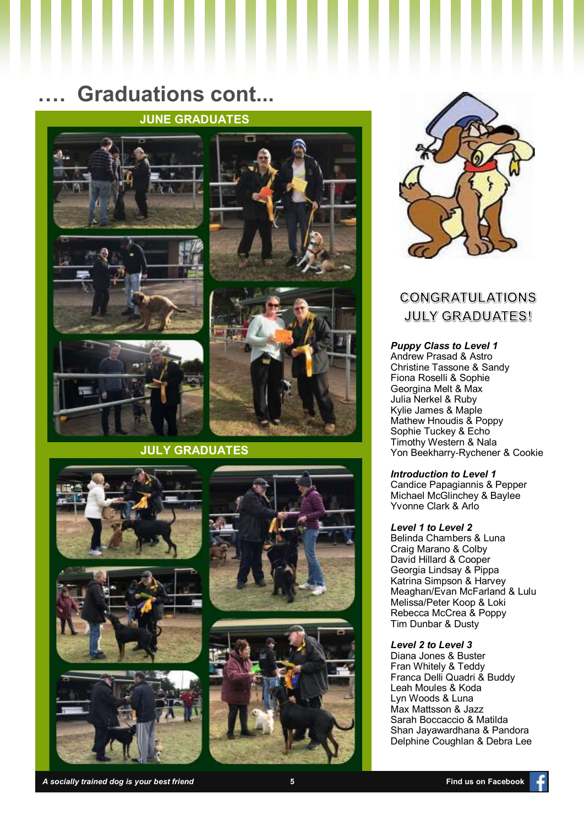# **…. Graduations cont...**

### **JUNE GRADUATES**











#### **JULY GRADUATES**













## **CONGRATULATIONS JULY GRADUATES!**

#### *Puppy Class to Level 1*

Andrew Prasad & Astro Christine Tassone & Sandy Fiona Roselli & Sophie Georgina Melt & Max Julia Nerkel & Ruby Kylie James & Maple Mathew Hnoudis & Poppy Sophie Tuckey & Echo Timothy Western & Nala Yon Beekharry-Rychener & Cookie

#### *Introduction to Level 1*

Candice Papagiannis & Pepper Michael McGlinchey & Baylee Yvonne Clark & Arlo

#### *Level 1 to Level 2*

Belinda Chambers & Luna Craig Marano & Colby David Hillard & Cooper Georgia Lindsay & Pippa Katrina Simpson & Harvey Meaghan/Evan McFarland & Lulu Melissa/Peter Koop & Loki Rebecca McCrea & Poppy Tim Dunbar & Dusty

#### *Level 2 to Level 3*

Diana Jones & Buster Fran Whitely & Teddy Franca Delli Quadri & Buddy Leah Moules & Koda Lyn Woods & Luna Max Mattsson & Jazz Sarah Boccaccio & Matilda Shan Jayawardhana & Pandora Delphine Coughlan & Debra Lee

*A socially trained dog is your best friend* **5 Find us on Facebook**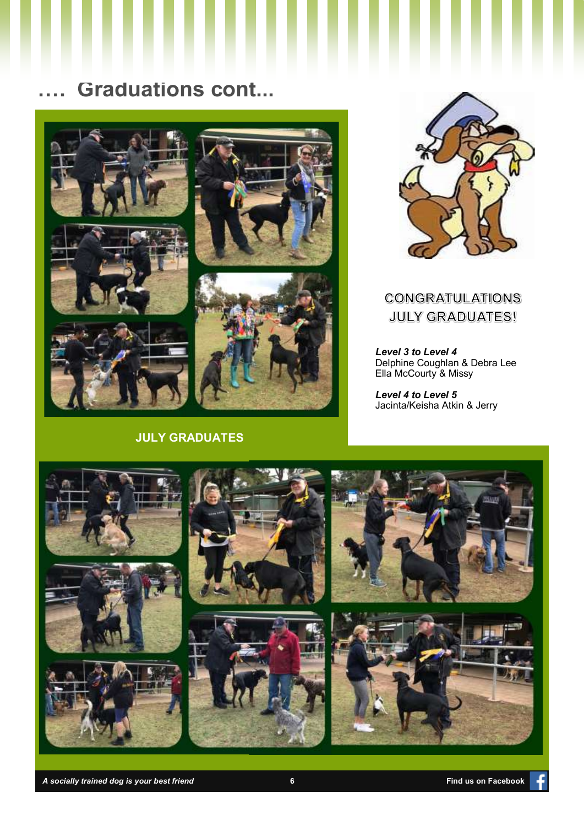# **…. Graduations cont...**



### **JULY GRADUATES**



### **CONGRATULATIONS JULY GRADUATES!**

*Level 3 to Level 4* Delphine Coughlan & Debra Lee Ella McCourty & Missy

*Level 4 to Level 5* Jacinta/Keisha Atkin & Jerry



*A socially trained dog is your best friend* **6 Find us on Facebook**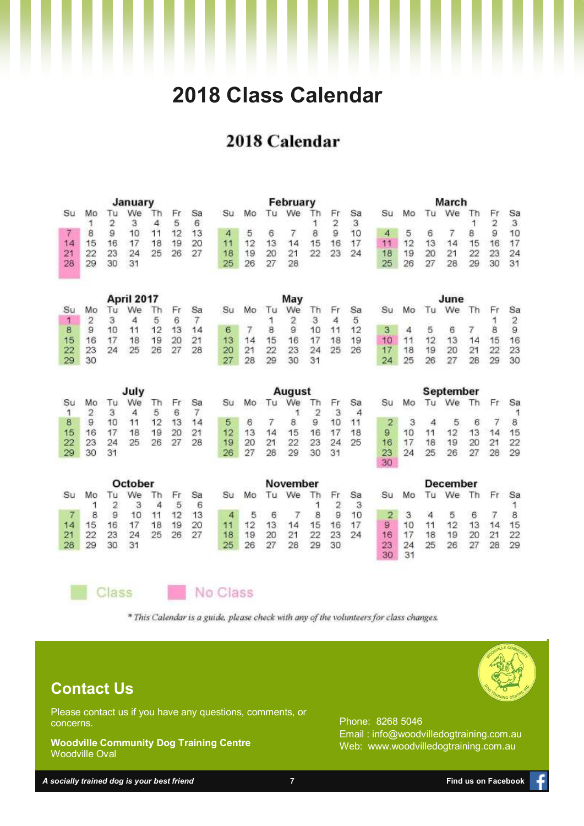# **2018 Class Calendar**

# 2018 Calendar

| January        |                |          |                |          |          |               | February |          |                |                  |          |                      |                  | March                   |          |                      |                 |          |                      |               |
|----------------|----------------|----------|----------------|----------|----------|---------------|----------|----------|----------------|------------------|----------|----------------------|------------------|-------------------------|----------|----------------------|-----------------|----------|----------------------|---------------|
| Su             | Mo             | Тu<br>2  | We<br>3        | Th<br>4  | Fr.<br>5 | Sa<br>6       | Su       | Mo       | Tu             | We               | Th       | Fr<br>$\overline{2}$ | Sa<br>3          | su                      | Mo       | Tu                   | We              | Th       | Fr<br>$\overline{c}$ | Sa<br>3       |
| 7              | 8              | 9        | 10             | 11       | 12       | 13            | 4        | 5        | 6              | 7                | 8        | 9                    | 10               | 4                       | 5        | 6                    | 7               | 8        | 9                    | 10            |
| 14             | 15             | 16       | 17             | 18       | 19       | 20            | 11       | 12       | 13             | 14               | 15       | 16                   | 17               | 11                      | 12       | 13                   | 14              | 15       | 16                   | 17            |
| 21             | 22             | 23       | 24             | 25       | 26       | 27            | 18       | 19       | 20             | 21               | 22       | 23                   | 24               | 18                      | 19       | 20                   | 21              | 22       | 23                   | 24            |
| 28             | 29             | 30       | 31             |          |          |               | 25       | 26       | 27             | 28               |          |                      |                  | 25                      | 26       | 27                   | 28              | 29       | 30                   | 31            |
| April 2017     |                |          |                |          |          | May           |          |          |                |                  |          |                      | June             |                         |          |                      |                 |          |                      |               |
| Su             | Mo             | Tu       | We             | Th       | Fr       | Sa            | Su       | Mo       | Tu             | We               | Τh       | Fr                   | Sa               | Su                      | Mo       | Tu                   | We              | Th       | Fr                   | Sa            |
| 1              | $\overline{2}$ | 3        | 4              | 5        | 6        | 7             |          |          | 1              | $\overline{c}$   | 3        | 4                    | 5                |                         |          |                      |                 |          | 1                    | $\frac{2}{9}$ |
| 8              | 9              | 10       | 11             | 12       | 13       | 14            | 6        | 7        | 8              | $\overline{9}$   | 10       | 11                   | 12               | 3                       | 4        | 5                    | 6               | 7        | 8                    |               |
| 15             | 16             | 17       | 18             | 19       | 20       | 21            | 13       | 14       | 15             | 16               | 17       | 18                   | 19               | 10                      | 11       | 12                   | 13              | 14       | 15                   | 16            |
| 22             | 23             | 24       | 25             | 26       | 27       | 28            | 20       | 21       | 22             | 23               | 24       | 25                   | 26               | 17                      | 18       | 19                   | 20              | 21       | 22                   | 23            |
| 29             | 30             |          |                |          |          |               | 27       | 28       | 29             | 30               | 31       |                      |                  | 24                      | 25       | 26                   | 27              | 28       | 29                   | 30            |
| July           |                |          |                |          |          | <b>August</b> |          |          |                |                  |          |                      | <b>September</b> |                         |          |                      |                 |          |                      |               |
|                |                |          |                |          |          |               |          |          |                |                  |          |                      |                  |                         |          |                      |                 |          |                      |               |
| Su             | Mo             | Tu       | We             | Th       | Fr       | Sa            | Su       | Mo       | Tu             | We               | Th       | Fr                   | Sa               | Su                      | Mo       | Tu                   | We              | Th       | Fr                   | Sa            |
| 1              | 2              | 3        | $\overline{4}$ | 5        | 6        | 7             |          |          |                | 1                | 2        | 3                    | 4                |                         |          |                      |                 |          |                      | 1             |
| 8              | 9<br>16        | 10       | 11             | 12       | 13       | 14            | 5        | 6        | $\overline{7}$ | 8                | 9        | 10                   | 11               | $\overline{\mathbf{2}}$ | 3        | $\overline{4}$<br>11 | 5               | 6        | $\overline{7}$       | 8             |
| 15<br>22       | 23             | 17<br>24 | 18<br>25       | 19<br>26 | 20<br>27 | 21<br>28      | 12<br>19 | 13<br>20 | 14<br>21       | 15<br>22         | 16<br>23 | 17<br>24             | 18<br>25         | 9<br>16                 | 10<br>17 | 18                   | 12<br>19        | 13<br>20 | 14<br>21             | 15<br>22      |
| 29             | 30             | 31       |                |          |          |               | 26       | 27       | 28             | 29               | 30       | 31                   |                  | 23<br>30                | $^{24}$  | 25                   | 26              | 27       | 28                   | 29            |
|                |                |          | October        |          |          |               |          |          |                | November         |          |                      |                  |                         |          |                      | <b>December</b> |          |                      |               |
| Su             | Mo             | Τu       | We             | Th       | Fr       | Sa            | Su       | Mo       | Tu             | We               | Th       | Fг                   | Sa               | Su                      | Mo       | Tu                   | We              | Th       | Fr.                  | Sa            |
|                | 1              | 2        | 3              | 4        | 5        | 6             |          |          |                |                  |          | $\overline{2}$       | 3                |                         |          |                      |                 |          |                      | 1             |
| $\overline{7}$ | 8              | 9        | 10             | 11       | 12       | 13            | 4        | 5        | 6              | $\boldsymbol{7}$ | 8        | 9                    | 10               | 2                       | 3        | $\overline{4}$       | 5               | 6        | 7                    | 8             |
| 14             | 15             | 16       | 17             | 18       | 19       | 20            | 11       | 12       | 13             | 14               | 15       | 16                   | 17               | $\overline{9}$          | 10       | 11                   | 12              | 13       | 14                   | 15            |
| 21<br>28       | 22<br>29       | 23<br>30 | 24<br>31       | 25       | 26       | 27            | 18<br>25 | 19<br>26 | 20<br>27       | 21<br>28         | 22<br>29 | 23<br>30             | 24               | 16<br>23                | 17<br>24 | 18<br>25             | 19<br>26        | 20<br>27 | 21<br>28             | 22<br>29      |

Class

No Class

\* This Calendar is a guide, please check with any of the volunteers for class changes.

# **Contact Us**

Please contact us if you have any questions, comments, or concerns.

**Woodville Community Dog Training Centre** Woodville Oval

Phone: 8268 5046 Email : info@woodvilledogtraining.com.au Web: www.woodvilledogtraining.com.au

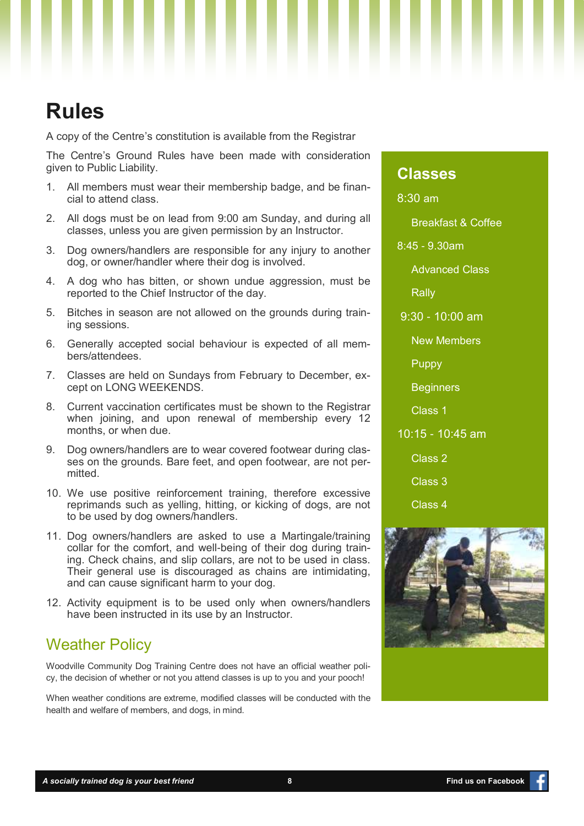# **Rules**

A copy of the Centre's constitution is available from the Registrar

The Centre's Ground Rules have been made with consideration given to Public Liability.

- 1. All members must wear their membership badge, and be financial to attend class.
- 2. All dogs must be on lead from 9:00 am Sunday, and during all classes, unless you are given permission by an Instructor.
- 3. Dog owners/handlers are responsible for any injury to another dog, or owner/handler where their dog is involved.
- 4. A dog who has bitten, or shown undue aggression, must be reported to the Chief Instructor of the day.
- 5. Bitches in season are not allowed on the grounds during training sessions.
- 6. Generally accepted social behaviour is expected of all members/attendees.
- 7. Classes are held on Sundays from February to December, except on LONG WEEKENDS.
- 8. Current vaccination certificates must be shown to the Registrar when joining, and upon renewal of membership every 12 months, or when due.
- 9. Dog owners/handlers are to wear covered footwear during classes on the grounds. Bare feet, and open footwear, are not permitted.
- 10. We use positive reinforcement training, therefore excessive reprimands such as yelling, hitting, or kicking of dogs, are not to be used by dog owners/handlers.
- 11. Dog owners/handlers are asked to use a Martingale/training collar for the comfort, and well-being of their dog during training. Check chains, and slip collars, are not to be used in class. Their general use is discouraged as chains are intimidating, and can cause significant harm to your dog.
- 12. Activity equipment is to be used only when owners/handlers have been instructed in its use by an Instructor.

### Weather Policy

Woodville Community Dog Training Centre does not have an official weather policy, the decision of whether or not you attend classes is up to you and your pooch!

When weather conditions are extreme, modified classes will be conducted with the health and welfare of members, and dogs, in mind.

### **Classes**

8:30 am

Breakfast & Coffee

8:45 - 9.30am

Advanced Class

Rally

9:30 - 10:00 am

New Members

Puppy

**Beginners** 

Class 1

10:15 - 10:45 am

Class 2

Class 3

Class 4